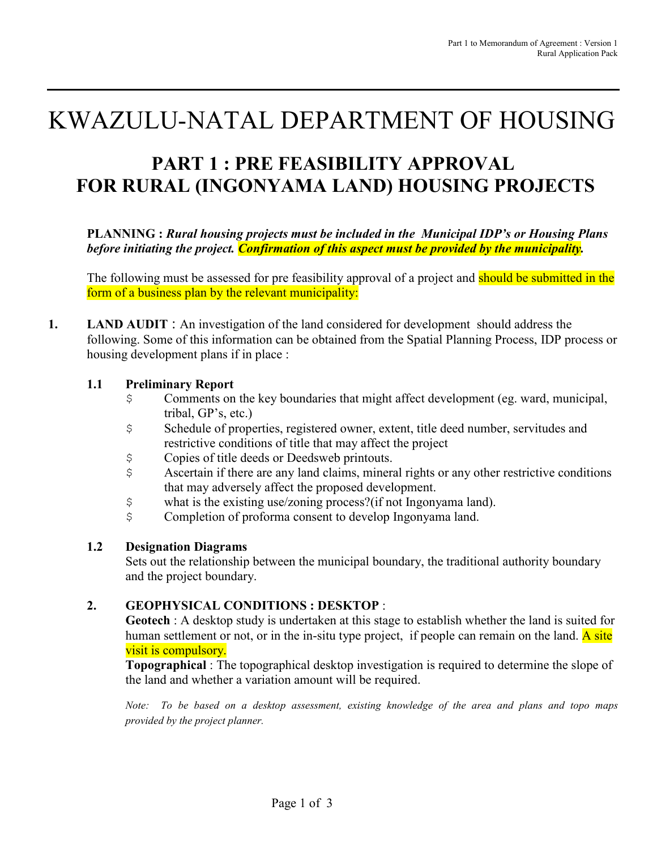# KWAZULU-NATAL DEPARTMENT OF HOUSING

## **PART 1 : PRE FEASIBILITY APPROVAL FOR RURAL (INGONYAMA LAND) HOUSING PROJECTS**

**PLANNING :** *Rural housing projects must be included in the Municipal IDP's or Housing Plans before initiating the project. Confirmation of this aspect must be provided by the municipality.* 

The following must be assessed for pre feasibility approval of a project and should be submitted in the form of a business plan by the relevant municipality:

**1. LAND AUDIT** : An investigation of the land considered for development should address the following. Some of this information can be obtained from the Spatial Planning Process, IDP process or housing development plans if in place :

#### **1.1 Preliminary Report**

- \$ Comments on the key boundaries that might affect development (eg. ward, municipal, tribal, GP's, etc.)
- \$ Schedule of properties, registered owner, extent, title deed number, servitudes and restrictive conditions of title that may affect the project
- \$ Copies of title deeds or Deedsweb printouts.
- \$ Ascertain if there are any land claims, mineral rights or any other restrictive conditions that may adversely affect the proposed development.
- \$ what is the existing use/zoning process?(if not Ingonyama land).
- \$ Completion of proforma consent to develop Ingonyama land.

#### **1.2 Designation Diagrams**

Sets out the relationship between the municipal boundary, the traditional authority boundary and the project boundary.

#### **2. GEOPHYSICAL CONDITIONS : DESKTOP** :

**Geotech** : A desktop study is undertaken at this stage to establish whether the land is suited for human settlement or not, or in the in-situ type project, if people can remain on the land. A site visit is compulsory.

**Topographical** : The topographical desktop investigation is required to determine the slope of the land and whether a variation amount will be required.

*Note: To be based on a desktop assessment, existing knowledge of the area and plans and topo maps provided by the project planner.*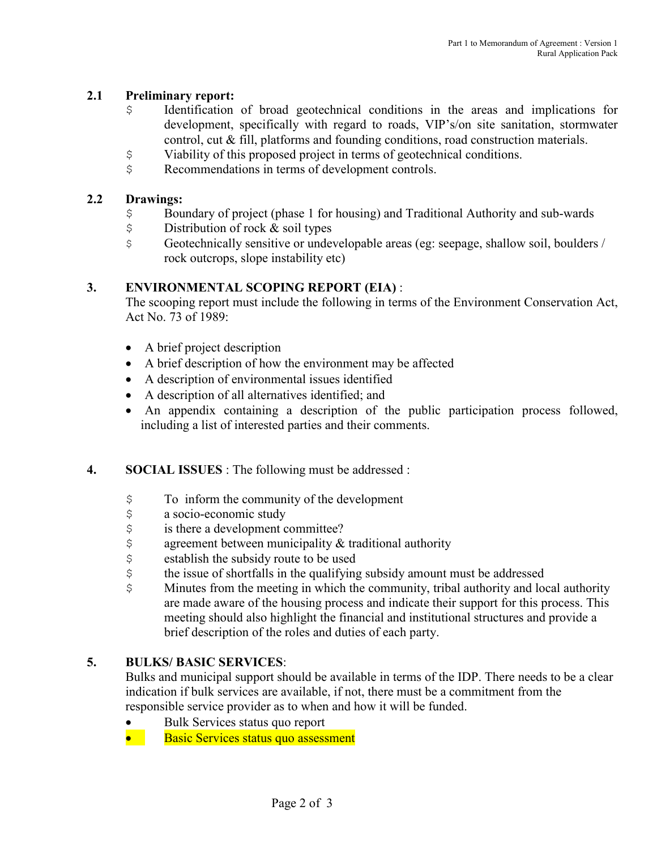#### **2.1 Preliminary report:**

- \$ Identification of broad geotechnical conditions in the areas and implications for development, specifically with regard to roads, VIP's/on site sanitation, stormwater control, cut & fill, platforms and founding conditions, road construction materials.
- \$ Viability of this proposed project in terms of geotechnical conditions.
- \$ Recommendations in terms of development controls.

#### **2.2 Drawings:**

- \$ Boundary of project (phase 1 for housing) and Traditional Authority and sub-wards
- \$ Distribution of rock & soil types
- \$ Geotechnically sensitive or undevelopable areas (eg: seepage, shallow soil, boulders / rock outcrops, slope instability etc)

#### **3. ENVIRONMENTAL SCOPING REPORT (EIA)** :

The scooping report must include the following in terms of the Environment Conservation Act, Act No. 73 of 1989:

- A brief project description
- A brief description of how the environment may be affected
- A description of environmental issues identified
- A description of all alternatives identified; and
- An appendix containing a description of the public participation process followed, including a list of interested parties and their comments.

#### **4. SOCIAL ISSUES** : The following must be addressed :

- \$ To inform the community of the development
- \$ a socio-economic study
- $\frac{1}{5}$  is there a development committee?<br> $\frac{2}{5}$  agreement between municipality &
- agreement between municipality  $&$  traditional authority
- \$ establish the subsidy route to be used
- \$ the issue of shortfalls in the qualifying subsidy amount must be addressed
- \$ Minutes from the meeting in which the community, tribal authority and local authority are made aware of the housing process and indicate their support for this process. This meeting should also highlight the financial and institutional structures and provide a brief description of the roles and duties of each party.

#### **5. BULKS/ BASIC SERVICES**:

Bulks and municipal support should be available in terms of the IDP. There needs to be a clear indication if bulk services are available, if not, there must be a commitment from the responsible service provider as to when and how it will be funded.

• Bulk Services status quo report

• Basic Services status quo assessment